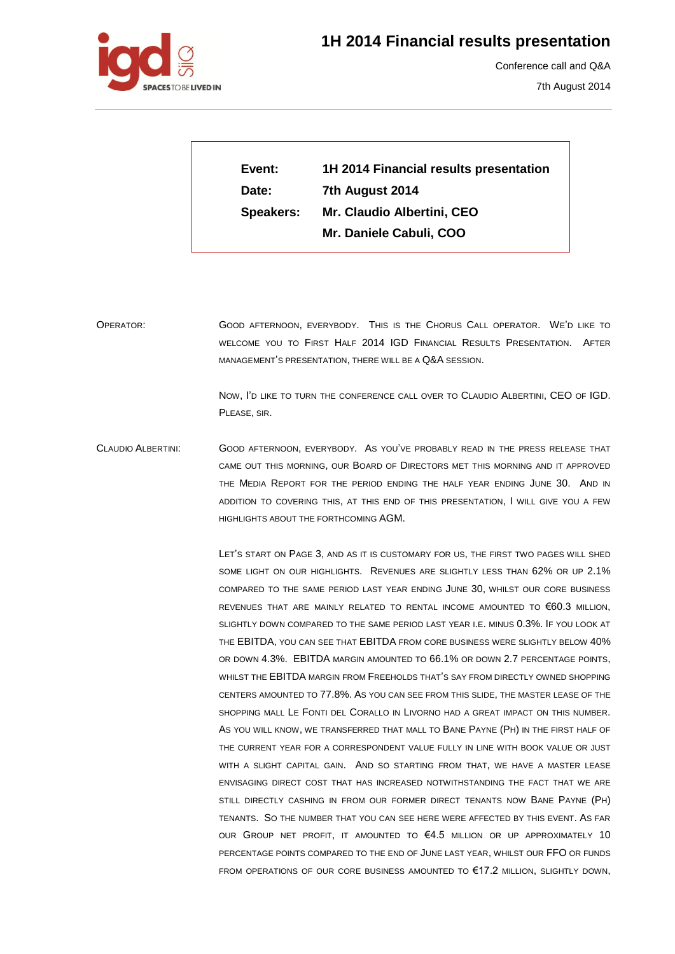



Conference call and Q&A

7th August 2014

**Event: 1H 2014 Financial results presentation Date: 7th August 2014 Speakers: Mr. Claudio Albertini, CEO Mr. Daniele Cabuli, COO**

OPERATOR: GOOD AFTERNOON, EVERYBODY. THIS IS THE CHORUS CALL OPERATOR. WE'D LIKE TO WELCOME YOU TO FIRST HALF 2014 IGD FINANCIAL RESULTS PRESENTATION. AFTER MANAGEMENT'S PRESENTATION, THERE WILL BE A Q&A SESSION.

> NOW, I'D LIKE TO TURN THE CONFERENCE CALL OVER TO CLAUDIO ALBERTINI, CEO OF IGD. PLEASE, SIR.

CLAUDIO ALBERTINI: GOOD AFTERNOON, EVERYBODY. AS YOU'VE PROBABLY READ IN THE PRESS RELEASE THAT CAME OUT THIS MORNING, OUR BOARD OF DIRECTORS MET THIS MORNING AND IT APPROVED THE MEDIA REPORT FOR THE PERIOD ENDING THE HALF YEAR ENDING JUNE 30. AND IN ADDITION TO COVERING THIS, AT THIS END OF THIS PRESENTATION, I WILL GIVE YOU A FEW HIGHLIGHTS ABOUT THE FORTHCOMING AGM.

> LET'S START ON PAGE 3, AND AS IT IS CUSTOMARY FOR US, THE FIRST TWO PAGES WILL SHED SOME LIGHT ON OUR HIGHLIGHTS. REVENUES ARE SLIGHTLY LESS THAN 62% OR UP 2.1% COMPARED TO THE SAME PERIOD LAST YEAR ENDING JUNE 30, WHILST OUR CORE BUSINESS REVENUES THAT ARE MAINLY RELATED TO RENTAL INCOME AMOUNTED TO €60.3 MILLION, SLIGHTLY DOWN COMPARED TO THE SAME PERIOD LAST YEAR I.E. MINUS 0.3%. IF YOU LOOK AT THE EBITDA, YOU CAN SEE THAT EBITDA FROM CORE BUSINESS WERE SLIGHTLY BELOW 40% OR DOWN 4.3%. EBITDA MARGIN AMOUNTED TO 66.1% OR DOWN 2.7 PERCENTAGE POINTS, WHILST THE EBITDA MARGIN FROM FREEHOLDS THAT'S SAY FROM DIRECTLY OWNED SHOPPING CENTERS AMOUNTED TO 77.8%. AS YOU CAN SEE FROM THIS SLIDE, THE MASTER LEASE OF THE SHOPPING MALL LE FONTI DEL CORALLO IN LIVORNO HAD A GREAT IMPACT ON THIS NUMBER. AS YOU WILL KNOW, WE TRANSFERRED THAT MALL TO BANE PAYNE (PH) IN THE FIRST HALF OF THE CURRENT YEAR FOR A CORRESPONDENT VALUE FULLY IN LINE WITH BOOK VALUE OR JUST WITH A SLIGHT CAPITAL GAIN. AND SO STARTING FROM THAT, WE HAVE A MASTER LEASE ENVISAGING DIRECT COST THAT HAS INCREASED NOTWITHSTANDING THE FACT THAT WE ARE STILL DIRECTLY CASHING IN FROM OUR FORMER DIRECT TENANTS NOW BANE PAYNE (PH) TENANTS. SO THE NUMBER THAT YOU CAN SEE HERE WERE AFFECTED BY THIS EVENT. AS FAR OUR GROUP NET PROFIT, IT AMOUNTED TO  $64.5$  MILLION OR UP APPROXIMATELY 10 PERCENTAGE POINTS COMPARED TO THE END OF JUNE LAST YEAR, WHILST OUR FFO OR FUNDS FROM OPERATIONS OF OUR CORE BUSINESS AMOUNTED TO €17.2 MILLION, SLIGHTLY DOWN,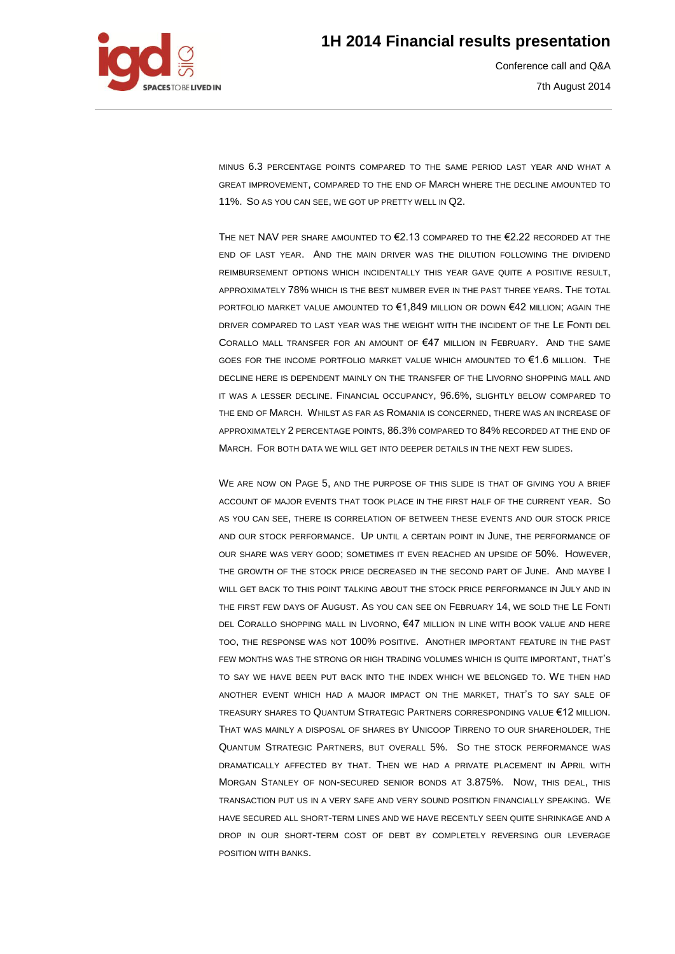

Conference call and Q&A 7th August 2014

MINUS 6.3 PERCENTAGE POINTS COMPARED TO THE SAME PERIOD LAST YEAR AND WHAT A GREAT IMPROVEMENT, COMPARED TO THE END OF MARCH WHERE THE DECLINE AMOUNTED TO 11%. SO AS YOU CAN SEE, WE GOT UP PRETTY WELL IN Q2.

THE NET NAV PER SHARE AMOUNTED TO €2.13 COMPARED TO THE €2.22 RECORDED AT THE END OF LAST YEAR. AND THE MAIN DRIVER WAS THE DILUTION FOLLOWING THE DIVIDEND REIMBURSEMENT OPTIONS WHICH INCIDENTALLY THIS YEAR GAVE QUITE A POSITIVE RESULT, APPROXIMATELY 78% WHICH IS THE BEST NUMBER EVER IN THE PAST THREE YEARS. THE TOTAL PORTFOLIO MARKET VALUE AMOUNTED TO €1,849 MILLION OR DOWN €42 MILLION; AGAIN THE DRIVER COMPARED TO LAST YEAR WAS THE WEIGHT WITH THE INCIDENT OF THE LE FONTI DEL CORALLO MALL TRANSFER FOR AN AMOUNT OF €47 MILLION IN FEBRUARY. AND THE SAME GOES FOR THE INCOME PORTFOLIO MARKET VALUE WHICH AMOUNTED TO €1.6 MILLION. THE DECLINE HERE IS DEPENDENT MAINLY ON THE TRANSFER OF THE LIVORNO SHOPPING MALL AND IT WAS A LESSER DECLINE. FINANCIAL OCCUPANCY, 96.6%, SLIGHTLY BELOW COMPARED TO THE END OF MARCH. WHILST AS FAR AS ROMANIA IS CONCERNED, THERE WAS AN INCREASE OF APPROXIMATELY 2 PERCENTAGE POINTS, 86.3% COMPARED TO 84% RECORDED AT THE END OF MARCH. FOR BOTH DATA WE WILL GET INTO DEEPER DETAILS IN THE NEXT FEW SLIDES.

WE ARE NOW ON PAGE 5, AND THE PURPOSE OF THIS SLIDE IS THAT OF GIVING YOU A BRIEF ACCOUNT OF MAJOR EVENTS THAT TOOK PLACE IN THE FIRST HALF OF THE CURRENT YEAR. SO AS YOU CAN SEE, THERE IS CORRELATION OF BETWEEN THESE EVENTS AND OUR STOCK PRICE AND OUR STOCK PERFORMANCE. UP UNTIL A CERTAIN POINT IN JUNE, THE PERFORMANCE OF OUR SHARE WAS VERY GOOD; SOMETIMES IT EVEN REACHED AN UPSIDE OF 50%. HOWEVER, THE GROWTH OF THE STOCK PRICE DECREASED IN THE SECOND PART OF JUNE. AND MAYBE I WILL GET BACK TO THIS POINT TALKING ABOUT THE STOCK PRICE PERFORMANCE IN JULY AND IN THE FIRST FEW DAYS OF AUGUST. AS YOU CAN SEE ON FEBRUARY 14, WE SOLD THE LE FONTI DEL CORALLO SHOPPING MALL IN LIVORNO, €47 MILLION IN LINE WITH BOOK VALUE AND HERE TOO, THE RESPONSE WAS NOT 100% POSITIVE. ANOTHER IMPORTANT FEATURE IN THE PAST FEW MONTHS WAS THE STRONG OR HIGH TRADING VOLUMES WHICH IS QUITE IMPORTANT, THAT'S TO SAY WE HAVE BEEN PUT BACK INTO THE INDEX WHICH WE BELONGED TO. WE THEN HAD ANOTHER EVENT WHICH HAD A MAJOR IMPACT ON THE MARKET, THAT'S TO SAY SALE OF TREASURY SHARES TO QUANTUM STRATEGIC PARTNERS CORRESPONDING VALUE €12 MILLION. THAT WAS MAINLY A DISPOSAL OF SHARES BY UNICOOP TIRRENO TO OUR SHAREHOLDER, THE QUANTUM STRATEGIC PARTNERS, BUT OVERALL 5%. SO THE STOCK PERFORMANCE WAS DRAMATICALLY AFFECTED BY THAT. THEN WE HAD A PRIVATE PLACEMENT IN APRIL WITH MORGAN STANLEY OF NON-SECURED SENIOR BONDS AT 3.875%. NOW, THIS DEAL, THIS TRANSACTION PUT US IN A VERY SAFE AND VERY SOUND POSITION FINANCIALLY SPEAKING. WE HAVE SECURED ALL SHORT-TERM LINES AND WE HAVE RECENTLY SEEN QUITE SHRINKAGE AND A DROP IN OUR SHORT-TERM COST OF DEBT BY COMPLETELY REVERSING OUR LEVERAGE POSITION WITH BANKS.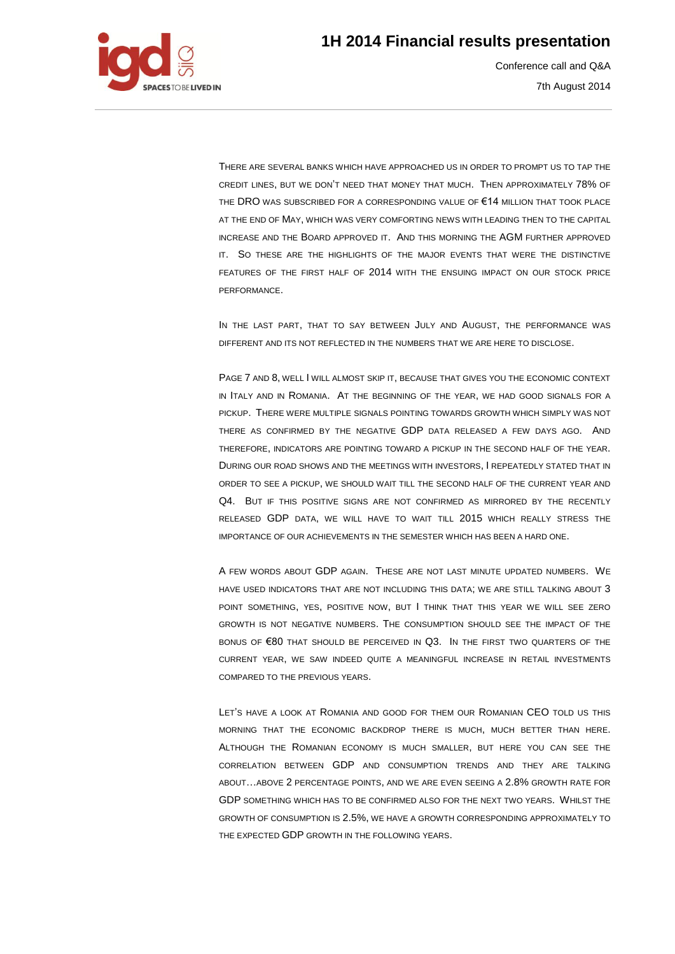

Conference call and Q&A 7th August 2014

THERE ARE SEVERAL BANKS WHICH HAVE APPROACHED US IN ORDER TO PROMPT US TO TAP THE CREDIT LINES, BUT WE DON'T NEED THAT MONEY THAT MUCH. THEN APPROXIMATELY 78% OF THE DRO WAS SUBSCRIBED FOR A CORRESPONDING VALUE OF €14 MILLION THAT TOOK PLACE AT THE END OF MAY, WHICH WAS VERY COMFORTING NEWS WITH LEADING THEN TO THE CAPITAL INCREASE AND THE BOARD APPROVED IT. AND THIS MORNING THE AGM FURTHER APPROVED IT. SO THESE ARE THE HIGHLIGHTS OF THE MAJOR EVENTS THAT WERE THE DISTINCTIVE FEATURES OF THE FIRST HALF OF 2014 WITH THE ENSUING IMPACT ON OUR STOCK PRICE PERFORMANCE.

IN THE LAST PART, THAT TO SAY BETWEEN JULY AND AUGUST, THE PERFORMANCE WAS DIFFERENT AND ITS NOT REFLECTED IN THE NUMBERS THAT WE ARE HERE TO DISCLOSE.

PAGE 7 AND 8, WELL I WILL ALMOST SKIP IT, BECAUSE THAT GIVES YOU THE ECONOMIC CONTEXT IN ITALY AND IN ROMANIA. AT THE BEGINNING OF THE YEAR, WE HAD GOOD SIGNALS FOR A PICKUP. THERE WERE MULTIPLE SIGNALS POINTING TOWARDS GROWTH WHICH SIMPLY WAS NOT THERE AS CONFIRMED BY THE NEGATIVE GDP DATA RELEASED A FEW DAYS AGO. AND THEREFORE, INDICATORS ARE POINTING TOWARD A PICKUP IN THE SECOND HALF OF THE YEAR. DURING OUR ROAD SHOWS AND THE MEETINGS WITH INVESTORS, I REPEATEDLY STATED THAT IN ORDER TO SEE A PICKUP, WE SHOULD WAIT TILL THE SECOND HALF OF THE CURRENT YEAR AND Q4. BUT IF THIS POSITIVE SIGNS ARE NOT CONFIRMED AS MIRRORED BY THE RECENTLY RELEASED GDP DATA, WE WILL HAVE TO WAIT TILL 2015 WHICH REALLY STRESS THE IMPORTANCE OF OUR ACHIEVEMENTS IN THE SEMESTER WHICH HAS BEEN A HARD ONE.

A FEW WORDS ABOUT GDP AGAIN. THESE ARE NOT LAST MINUTE UPDATED NUMBERS. WE HAVE USED INDICATORS THAT ARE NOT INCLUDING THIS DATA; WE ARE STILL TALKING ABOUT 3 POINT SOMETHING, YES, POSITIVE NOW, BUT I THINK THAT THIS YEAR WE WILL SEE ZERO GROWTH IS NOT NEGATIVE NUMBERS. THE CONSUMPTION SHOULD SEE THE IMPACT OF THE BONUS OF  $\epsilon$ 80 THAT SHOULD BE PERCEIVED IN  $Q3$ . In the first two quarters of the CURRENT YEAR, WE SAW INDEED QUITE A MEANINGFUL INCREASE IN RETAIL INVESTMENTS COMPARED TO THE PREVIOUS YEARS.

LET'S HAVE A LOOK AT ROMANIA AND GOOD FOR THEM OUR ROMANIAN CEO TOLD US THIS MORNING THAT THE ECONOMIC BACKDROP THERE IS MUCH, MUCH BETTER THAN HERE. ALTHOUGH THE ROMANIAN ECONOMY IS MUCH SMALLER, BUT HERE YOU CAN SEE THE CORRELATION BETWEEN GDP AND CONSUMPTION TRENDS AND THEY ARE TALKING ABOUT…ABOVE 2 PERCENTAGE POINTS, AND WE ARE EVEN SEEING A 2.8% GROWTH RATE FOR GDP SOMETHING WHICH HAS TO BE CONFIRMED ALSO FOR THE NEXT TWO YEARS. WHILST THE GROWTH OF CONSUMPTION IS 2.5%, WE HAVE A GROWTH CORRESPONDING APPROXIMATELY TO THE EXPECTED GDP GROWTH IN THE FOLLOWING YEARS.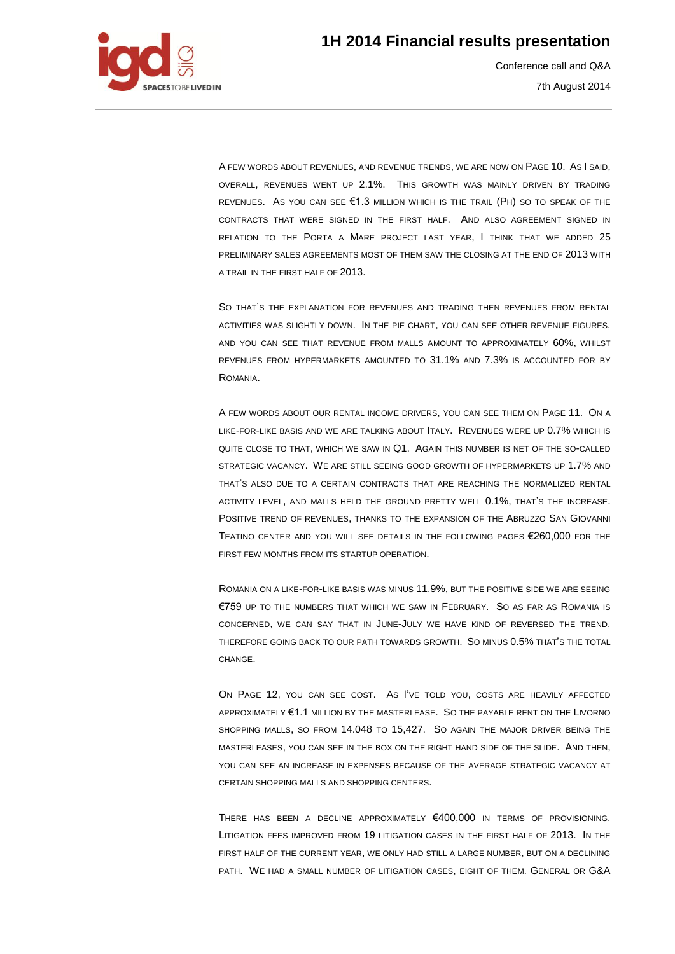

Conference call and Q&A 7th August 2014

A FEW WORDS ABOUT REVENUES, AND REVENUE TRENDS, WE ARE NOW ON PAGE 10. AS I SAID, OVERALL, REVENUES WENT UP 2.1%. THIS GROWTH WAS MAINLY DRIVEN BY TRADING REVENUES. AS YOU CAN SEE €1.3 MILLION WHICH IS THE TRAIL (PH) SO TO SPEAK OF THE CONTRACTS THAT WERE SIGNED IN THE FIRST HALF. AND ALSO AGREEMENT SIGNED IN RELATION TO THE PORTA A MARE PROJECT LAST YEAR, I THINK THAT WE ADDED 25 PRELIMINARY SALES AGREEMENTS MOST OF THEM SAW THE CLOSING AT THE END OF 2013 WITH A TRAIL IN THE FIRST HALF OF 2013.

SO THAT'S THE EXPLANATION FOR REVENUES AND TRADING THEN REVENUES FROM RENTAL ACTIVITIES WAS SLIGHTLY DOWN. IN THE PIE CHART, YOU CAN SEE OTHER REVENUE FIGURES, AND YOU CAN SEE THAT REVENUE FROM MALLS AMOUNT TO APPROXIMATELY 60%, WHILST REVENUES FROM HYPERMARKETS AMOUNTED TO 31.1% AND 7.3% IS ACCOUNTED FOR BY ROMANIA.

A FEW WORDS ABOUT OUR RENTAL INCOME DRIVERS, YOU CAN SEE THEM ON PAGE 11. ON A LIKE-FOR-LIKE BASIS AND WE ARE TALKING ABOUT ITALY. REVENUES WERE UP 0.7% WHICH IS QUITE CLOSE TO THAT, WHICH WE SAW IN Q1. AGAIN THIS NUMBER IS NET OF THE SO-CALLED STRATEGIC VACANCY. WE ARE STILL SEEING GOOD GROWTH OF HYPERMARKETS UP 1.7% AND THAT'S ALSO DUE TO A CERTAIN CONTRACTS THAT ARE REACHING THE NORMALIZED RENTAL ACTIVITY LEVEL, AND MALLS HELD THE GROUND PRETTY WELL 0.1%, THAT'S THE INCREASE. POSITIVE TREND OF REVENUES, THANKS TO THE EXPANSION OF THE ABRUZZO SAN GIOVANNI TEATINO CENTER AND YOU WILL SEE DETAILS IN THE FOLLOWING PAGES €260,000 FOR THE FIRST FEW MONTHS FROM ITS STARTUP OPERATION.

ROMANIA ON A LIKE-FOR-LIKE BASIS WAS MINUS 11.9%, BUT THE POSITIVE SIDE WE ARE SEEING €759 UP TO THE NUMBERS THAT WHICH WE SAW IN FEBRUARY. SO AS FAR AS ROMANIA IS CONCERNED, WE CAN SAY THAT IN JUNE-JULY WE HAVE KIND OF REVERSED THE TREND, THEREFORE GOING BACK TO OUR PATH TOWARDS GROWTH. SO MINUS 0.5% THAT'S THE TOTAL **CHANGE** 

ON PAGE 12, YOU CAN SEE COST. AS I'VE TOLD YOU, COSTS ARE HEAVILY AFFECTED APPROXIMATELY €1.1 MILLION BY THE MASTERLEASE. SO THE PAYABLE RENT ON THE LIVORNO SHOPPING MALLS, SO FROM 14.048 TO 15,427. SO AGAIN THE MAJOR DRIVER BEING THE MASTERLEASES, YOU CAN SEE IN THE BOX ON THE RIGHT HAND SIDE OF THE SLIDE. AND THEN, YOU CAN SEE AN INCREASE IN EXPENSES BECAUSE OF THE AVERAGE STRATEGIC VACANCY AT CERTAIN SHOPPING MALLS AND SHOPPING CENTERS.

THERE HAS BEEN A DECLINE APPROXIMATELY €400,000 IN TERMS OF PROVISIONING. LITIGATION FEES IMPROVED FROM 19 LITIGATION CASES IN THE FIRST HALF OF 2013. IN THE FIRST HALF OF THE CURRENT YEAR, WE ONLY HAD STILL A LARGE NUMBER, BUT ON A DECLINING PATH. WE HAD A SMALL NUMBER OF LITIGATION CASES, EIGHT OF THEM. GENERAL OR G&A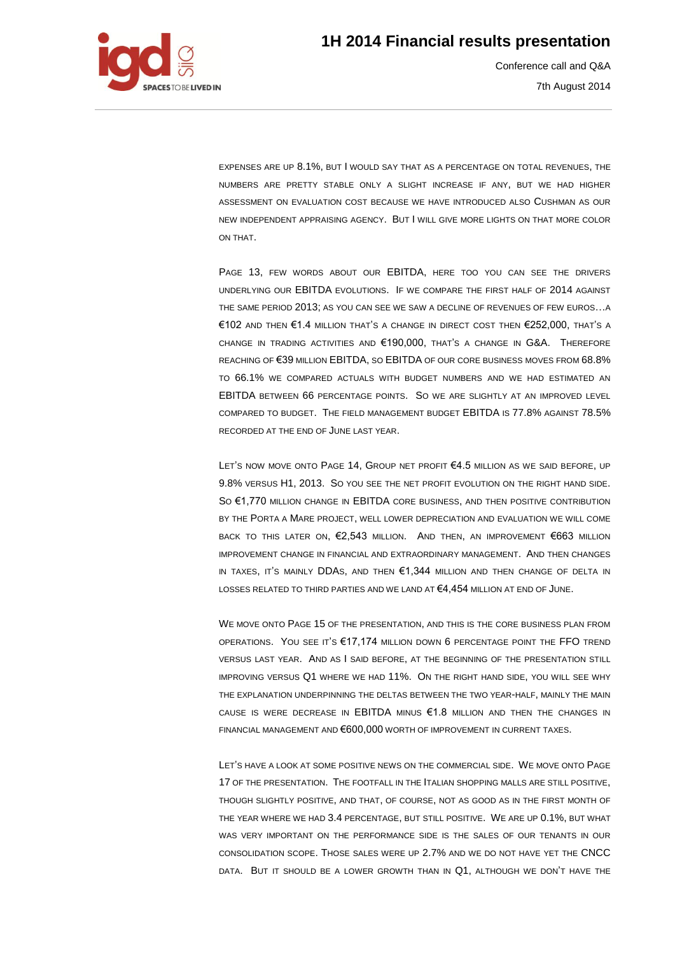

Conference call and Q&A 7th August 2014

EXPENSES ARE UP 8.1%, BUT I WOULD SAY THAT AS A PERCENTAGE ON TOTAL REVENUES, THE NUMBERS ARE PRETTY STABLE ONLY A SLIGHT INCREASE IF ANY, BUT WE HAD HIGHER ASSESSMENT ON EVALUATION COST BECAUSE WE HAVE INTRODUCED ALSO CUSHMAN AS OUR NEW INDEPENDENT APPRAISING AGENCY. BUT I WILL GIVE MORE LIGHTS ON THAT MORE COLOR ON THAT.

PAGE 13, FEW WORDS ABOUT OUR EBITDA, HERE TOO YOU CAN SEE THE DRIVERS UNDERLYING OUR EBITDA EVOLUTIONS. IF WE COMPARE THE FIRST HALF OF 2014 AGAINST THE SAME PERIOD 2013; AS YOU CAN SEE WE SAW A DECLINE OF REVENUES OF FEW EUROS…A €102 AND THEN €1.4 MILLION THAT'S A CHANGE IN DIRECT COST THEN €252,000, THAT'S A CHANGE IN TRADING ACTIVITIES AND €190,000, THAT'S A CHANGE IN G&A. THEREFORE REACHING OF €39 MILLION EBITDA, SO EBITDA OF OUR CORE BUSINESS MOVES FROM 68.8% TO 66.1% WE COMPARED ACTUALS WITH BUDGET NUMBERS AND WE HAD ESTIMATED AN EBITDA BETWEEN 66 PERCENTAGE POINTS. SO WE ARE SLIGHTLY AT AN IMPROVED LEVEL COMPARED TO BUDGET. THE FIELD MANAGEMENT BUDGET EBITDA IS 77.8% AGAINST 78.5% RECORDED AT THE END OF JUNE LAST YEAR.

LET'S NOW MOVE ONTO PAGE 14, GROUP NET PROFIT €4.5 MILLION AS WE SAID BEFORE, UP 9.8% VERSUS H1, 2013. SO YOU SEE THE NET PROFIT EVOLUTION ON THE RIGHT HAND SIDE. SO €1,770 MILLION CHANGE IN EBITDA CORE BUSINESS, AND THEN POSITIVE CONTRIBUTION BY THE PORTA A MARE PROJECT, WELL LOWER DEPRECIATION AND EVALUATION WE WILL COME BACK TO THIS LATER ON, €2,543 MILLION. AND THEN, AN IMPROVEMENT €663 MILLION IMPROVEMENT CHANGE IN FINANCIAL AND EXTRAORDINARY MANAGEMENT. AND THEN CHANGES IN TAXES, IT'S MAINLY DDAS, AND THEN €1,344 MILLION AND THEN CHANGE OF DELTA IN LOSSES RELATED TO THIRD PARTIES AND WE LAND AT €4,454 MILLION AT END OF JUNE.

WE MOVE ONTO PAGE 15 OF THE PRESENTATION, AND THIS IS THE CORE BUSINESS PLAN FROM OPERATIONS. YOU SEE IT'S €17,174 MILLION DOWN 6 PERCENTAGE POINT THE FFO TREND VERSUS LAST YEAR. AND AS I SAID BEFORE, AT THE BEGINNING OF THE PRESENTATION STILL IMPROVING VERSUS Q1 WHERE WE HAD 11%. ON THE RIGHT HAND SIDE, YOU WILL SEE WHY THE EXPLANATION UNDERPINNING THE DELTAS BETWEEN THE TWO YEAR-HALF, MAINLY THE MAIN CAUSE IS WERE DECREASE IN EBITDA MINUS €1.8 MILLION AND THEN THE CHANGES IN FINANCIAL MANAGEMENT AND €600,000 WORTH OF IMPROVEMENT IN CURRENT TAXES.

LET'S HAVE A LOOK AT SOME POSITIVE NEWS ON THE COMMERCIAL SIDE. WE MOVE ONTO PAGE 17 OF THE PRESENTATION. THE FOOTFALL IN THE ITALIAN SHOPPING MALLS ARE STILL POSITIVE, THOUGH SLIGHTLY POSITIVE, AND THAT, OF COURSE, NOT AS GOOD AS IN THE FIRST MONTH OF THE YEAR WHERE WE HAD 3.4 PERCENTAGE, BUT STILL POSITIVE. WE ARE UP 0.1%, BUT WHAT WAS VERY IMPORTANT ON THE PERFORMANCE SIDE IS THE SALES OF OUR TENANTS IN OUR CONSOLIDATION SCOPE. THOSE SALES WERE UP 2.7% AND WE DO NOT HAVE YET THE CNCC DATA. BUT IT SHOULD BE A LOWER GROWTH THAN IN Q1, ALTHOUGH WE DON'T HAVE THE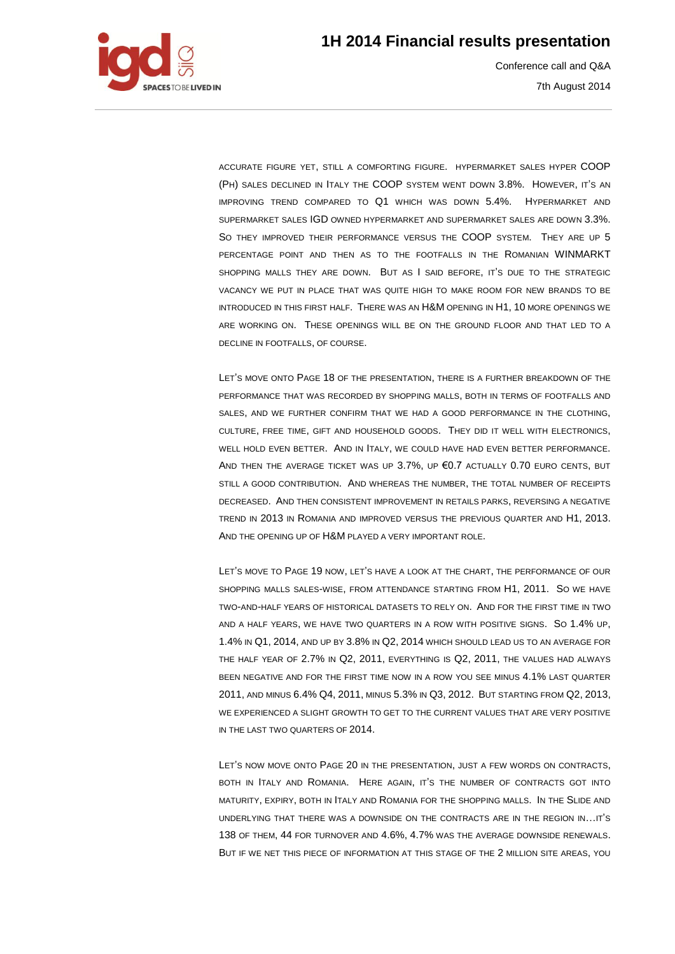

Conference call and Q&A 7th August 2014

ACCURATE FIGURE YET, STILL A COMFORTING FIGURE. HYPERMARKET SALES HYPER COOP (PH) SALES DECLINED IN ITALY THE COOP SYSTEM WENT DOWN 3.8%. HOWEVER, IT'S AN IMPROVING TREND COMPARED TO Q1 WHICH WAS DOWN 5.4%. HYPERMARKET AND SUPERMARKET SALES IGD OWNED HYPERMARKET AND SUPERMARKET SALES ARE DOWN 3.3%. SO THEY IMPROVED THEIR PERFORMANCE VERSUS THE COOP SYSTEM. THEY ARE UP 5 PERCENTAGE POINT AND THEN AS TO THE FOOTFALLS IN THE ROMANIAN WINMARKT SHOPPING MALLS THEY ARE DOWN. BUT AS I SAID BEFORE, IT'S DUE TO THE STRATEGIC VACANCY WE PUT IN PLACE THAT WAS QUITE HIGH TO MAKE ROOM FOR NEW BRANDS TO BE INTRODUCED IN THIS FIRST HALF. THERE WAS AN H&M OPENING IN H1, 10 MORE OPENINGS WE ARE WORKING ON. THESE OPENINGS WILL BE ON THE GROUND FLOOR AND THAT LED TO A DECLINE IN FOOTFALLS, OF COURSE.

LET'S MOVE ONTO PAGE 18 OF THE PRESENTATION, THERE IS A FURTHER BREAKDOWN OF THE PERFORMANCE THAT WAS RECORDED BY SHOPPING MALLS, BOTH IN TERMS OF FOOTFALLS AND SALES, AND WE FURTHER CONFIRM THAT WE HAD A GOOD PERFORMANCE IN THE CLOTHING, CULTURE, FREE TIME, GIFT AND HOUSEHOLD GOODS. THEY DID IT WELL WITH ELECTRONICS, WELL HOLD EVEN BETTER. AND IN ITALY, WE COULD HAVE HAD EVEN BETTER PERFORMANCE. AND THEN THE AVERAGE TICKET WAS UP 3.7%, UP €0.7 ACTUALLY 0.70 EURO CENTS, BUT STILL A GOOD CONTRIBUTION. AND WHEREAS THE NUMBER, THE TOTAL NUMBER OF RECEIPTS DECREASED. AND THEN CONSISTENT IMPROVEMENT IN RETAILS PARKS, REVERSING A NEGATIVE TREND IN 2013 IN ROMANIA AND IMPROVED VERSUS THE PREVIOUS QUARTER AND H1, 2013. AND THE OPENING UP OF H&M PLAYED A VERY IMPORTANT ROLE.

LET'S MOVE TO PAGE 19 NOW, LET'S HAVE A LOOK AT THE CHART, THE PERFORMANCE OF OUR SHOPPING MALLS SALES-WISE, FROM ATTENDANCE STARTING FROM H1, 2011. SO WE HAVE TWO-AND-HALF YEARS OF HISTORICAL DATASETS TO RELY ON. AND FOR THE FIRST TIME IN TWO AND A HALF YEARS, WE HAVE TWO QUARTERS IN A ROW WITH POSITIVE SIGNS. SO 1.4% UP, 1.4% IN Q1, 2014, AND UP BY 3.8% IN Q2, 2014 WHICH SHOULD LEAD US TO AN AVERAGE FOR THE HALF YEAR OF 2.7% IN Q2, 2011, EVERYTHING IS Q2, 2011, THE VALUES HAD ALWAYS BEEN NEGATIVE AND FOR THE FIRST TIME NOW IN A ROW YOU SEE MINUS 4.1% LAST QUARTER 2011, AND MINUS 6.4% Q4, 2011, MINUS 5.3% IN Q3, 2012. BUT STARTING FROM Q2, 2013, WE EXPERIENCED A SLIGHT GROWTH TO GET TO THE CURRENT VALUES THAT ARE VERY POSITIVE IN THE LAST TWO QUARTERS OF 2014.

LET'S NOW MOVE ONTO PAGE 20 IN THE PRESENTATION, JUST A FEW WORDS ON CONTRACTS, BOTH IN ITALY AND ROMANIA. HERE AGAIN, IT'S THE NUMBER OF CONTRACTS GOT INTO MATURITY, EXPIRY, BOTH IN ITALY AND ROMANIA FOR THE SHOPPING MALLS. IN THE SLIDE AND UNDERLYING THAT THERE WAS A DOWNSIDE ON THE CONTRACTS ARE IN THE REGION IN…IT'S 138 OF THEM, 44 FOR TURNOVER AND 4.6%, 4.7% WAS THE AVERAGE DOWNSIDE RENEWALS. BUT IF WE NET THIS PIECE OF INFORMATION AT THIS STAGE OF THE 2 MILLION SITE AREAS, YOU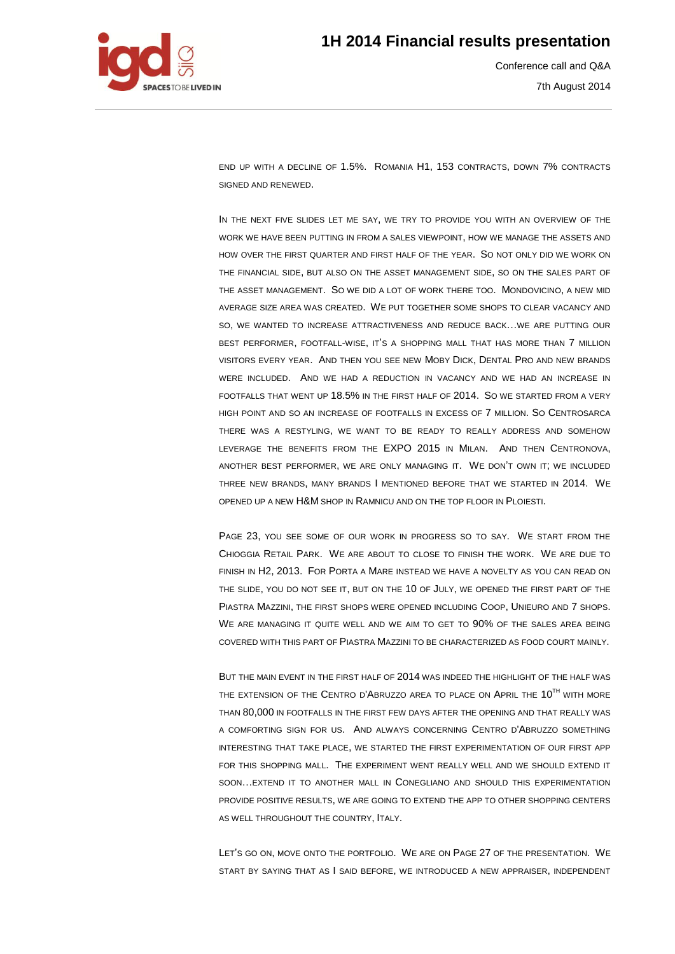

Conference call and Q&A 7th August 2014

END UP WITH A DECLINE OF 1.5%. ROMANIA H1, 153 CONTRACTS, DOWN 7% CONTRACTS SIGNED AND RENEWED.

IN THE NEXT FIVE SLIDES LET ME SAY, WE TRY TO PROVIDE YOU WITH AN OVERVIEW OF THE WORK WE HAVE BEEN PUTTING IN FROM A SALES VIEWPOINT, HOW WE MANAGE THE ASSETS AND HOW OVER THE FIRST QUARTER AND FIRST HALF OF THE YEAR. SO NOT ONLY DID WE WORK ON THE FINANCIAL SIDE, BUT ALSO ON THE ASSET MANAGEMENT SIDE, SO ON THE SALES PART OF THE ASSET MANAGEMENT. SO WE DID A LOT OF WORK THERE TOO. MONDOVICINO, A NEW MID AVERAGE SIZE AREA WAS CREATED. WE PUT TOGETHER SOME SHOPS TO CLEAR VACANCY AND SO, WE WANTED TO INCREASE ATTRACTIVENESS AND REDUCE BACK…WE ARE PUTTING OUR BEST PERFORMER, FOOTFALL-WISE, IT'S A SHOPPING MALL THAT HAS MORE THAN 7 MILLION VISITORS EVERY YEAR. AND THEN YOU SEE NEW MOBY DICK, DENTAL PRO AND NEW BRANDS WERE INCLUDED. AND WE HAD A REDUCTION IN VACANCY AND WE HAD AN INCREASE IN FOOTFALLS THAT WENT UP 18.5% IN THE FIRST HALF OF 2014. SO WE STARTED FROM A VERY HIGH POINT AND SO AN INCREASE OF FOOTFALLS IN EXCESS OF 7 MILLION. SO CENTROSARCA THERE WAS A RESTYLING, WE WANT TO BE READY TO REALLY ADDRESS AND SOMEHOW LEVERAGE THE BENEFITS FROM THE EXPO 2015 IN MILAN. AND THEN CENTRONOVA, ANOTHER BEST PERFORMER, WE ARE ONLY MANAGING IT. WE DON'T OWN IT; WE INCLUDED THREE NEW BRANDS, MANY BRANDS I MENTIONED BEFORE THAT WE STARTED IN 2014. WE OPENED UP A NEW H&M SHOP IN RAMNICU AND ON THE TOP FLOOR IN PLOIESTI.

PAGE 23, YOU SEE SOME OF OUR WORK IN PROGRESS SO TO SAY. WE START FROM THE CHIOGGIA RETAIL PARK. WE ARE ABOUT TO CLOSE TO FINISH THE WORK. WE ARE DUE TO FINISH IN H2, 2013. FOR PORTA A MARE INSTEAD WE HAVE A NOVELTY AS YOU CAN READ ON THE SLIDE, YOU DO NOT SEE IT, BUT ON THE 10 OF JULY, WE OPENED THE FIRST PART OF THE PIASTRA MAZZINI, THE FIRST SHOPS WERE OPENED INCLUDING COOP, UNIEURO AND 7 SHOPS. WE ARE MANAGING IT QUITE WELL AND WE AIM TO GET TO 90% OF THE SALES AREA BEING COVERED WITH THIS PART OF PIASTRA MAZZINI TO BE CHARACTERIZED AS FOOD COURT MAINLY.

BUT THE MAIN EVENT IN THE FIRST HALF OF 2014 WAS INDEED THE HIGHLIGHT OF THE HALF WAS THE EXTENSION OF THE CENTRO D'ABRUZZO AREA TO PLACE ON APRIL THE 10<sup>TH</sup> WITH MORE THAN 80,000 IN FOOTFALLS IN THE FIRST FEW DAYS AFTER THE OPENING AND THAT REALLY WAS A COMFORTING SIGN FOR US. AND ALWAYS CONCERNING CENTRO D'ABRUZZO SOMETHING INTERESTING THAT TAKE PLACE, WE STARTED THE FIRST EXPERIMENTATION OF OUR FIRST APP FOR THIS SHOPPING MALL. THE EXPERIMENT WENT REALLY WELL AND WE SHOULD EXTEND IT SOON…EXTEND IT TO ANOTHER MALL IN CONEGLIANO AND SHOULD THIS EXPERIMENTATION PROVIDE POSITIVE RESULTS, WE ARE GOING TO EXTEND THE APP TO OTHER SHOPPING CENTERS AS WELL THROUGHOUT THE COUNTRY, ITALY.

LET'S GO ON, MOVE ONTO THE PORTFOLIO. WE ARE ON PAGE 27 OF THE PRESENTATION. WE START BY SAYING THAT AS I SAID BEFORE, WE INTRODUCED A NEW APPRAISER, INDEPENDENT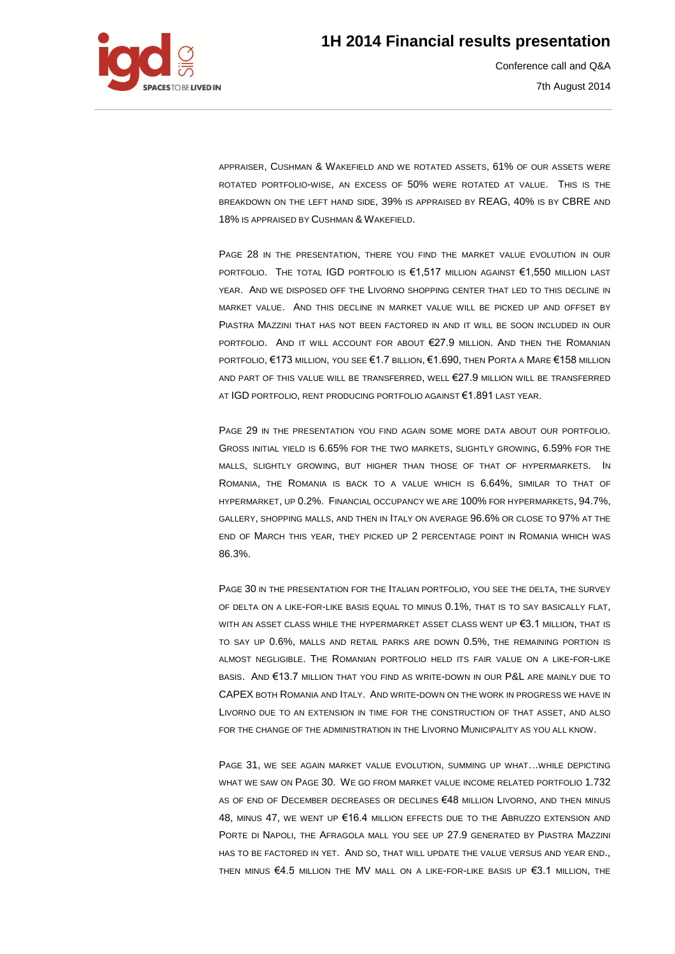

Conference call and Q&A 7th August 2014

APPRAISER, CUSHMAN & WAKEFIELD AND WE ROTATED ASSETS, 61% OF OUR ASSETS WERE ROTATED PORTFOLIO-WISE, AN EXCESS OF 50% WERE ROTATED AT VALUE. THIS IS THE BREAKDOWN ON THE LEFT HAND SIDE, 39% IS APPRAISED BY REAG, 40% IS BY CBRE AND 18% IS APPRAISED BY CUSHMAN & WAKEFIELD.

PAGE 28 IN THE PRESENTATION, THERE YOU FIND THE MARKET VALUE EVOLUTION IN OUR PORTFOLIO. THE TOTAL IGD PORTFOLIO IS €1,517 MILLION AGAINST €1,550 MILLION LAST YEAR. AND WE DISPOSED OFF THE LIVORNO SHOPPING CENTER THAT LED TO THIS DECLINE IN MARKET VALUE. AND THIS DECLINE IN MARKET VALUE WILL BE PICKED UP AND OFFSET BY PIASTRA MAZZINI THAT HAS NOT BEEN FACTORED IN AND IT WILL BE SOON INCLUDED IN OUR PORTFOLIO. AND IT WILL ACCOUNT FOR ABOUT €27.9 MILLION. AND THEN THE ROMANIAN PORTFOLIO, €173 MILLION, YOU SEE €1.7 BILLION, €1.690, THEN PORTA A MARE €158 MILLION AND PART OF THIS VALUE WILL BE TRANSFERRED, WELL €27.9 MILLION WILL BE TRANSFERRED AT IGD PORTFOLIO, RENT PRODUCING PORTFOLIO AGAINST €1.891 LAST YEAR.

PAGE 29 IN THE PRESENTATION YOU FIND AGAIN SOME MORE DATA ABOUT OUR PORTFOLIO. GROSS INITIAL YIELD IS 6.65% FOR THE TWO MARKETS, SLIGHTLY GROWING, 6.59% FOR THE MALLS, SLIGHTLY GROWING, BUT HIGHER THAN THOSE OF THAT OF HYPERMARKETS. IN ROMANIA, THE ROMANIA IS BACK TO A VALUE WHICH IS 6.64%, SIMILAR TO THAT OF HYPERMARKET, UP 0.2%. FINANCIAL OCCUPANCY WE ARE 100% FOR HYPERMARKETS, 94.7%, GALLERY, SHOPPING MALLS, AND THEN IN ITALY ON AVERAGE 96.6% OR CLOSE TO 97% AT THE END OF MARCH THIS YEAR, THEY PICKED UP 2 PERCENTAGE POINT IN ROMANIA WHICH WAS 86.3%.

PAGE 30 IN THE PRESENTATION FOR THE ITALIAN PORTFOLIO, YOU SEE THE DELTA, THE SURVEY OF DELTA ON A LIKE-FOR-LIKE BASIS EQUAL TO MINUS 0.1%, THAT IS TO SAY BASICALLY FLAT, WITH AN ASSET CLASS WHILE THE HYPERMARKET ASSET CLASS WENT UP €3.1 MILLION, THAT IS TO SAY UP 0.6%, MALLS AND RETAIL PARKS ARE DOWN 0.5%, THE REMAINING PORTION IS ALMOST NEGLIGIBLE. THE ROMANIAN PORTFOLIO HELD ITS FAIR VALUE ON A LIKE-FOR-LIKE BASIS. AND €13.7 MILLION THAT YOU FIND AS WRITE-DOWN IN OUR P&L ARE MAINLY DUE TO CAPEX BOTH ROMANIA AND ITALY. AND WRITE-DOWN ON THE WORK IN PROGRESS WE HAVE IN LIVORNO DUE TO AN EXTENSION IN TIME FOR THE CONSTRUCTION OF THAT ASSET, AND ALSO FOR THE CHANGE OF THE ADMINISTRATION IN THE LIVORNO MUNICIPALITY AS YOU ALL KNOW.

PAGE 31, WE SEE AGAIN MARKET VALUE EVOLUTION, SUMMING UP WHAT…WHILE DEPICTING WHAT WE SAW ON PAGE 30. WE GO FROM MARKET VALUE INCOME RELATED PORTFOLIO 1.732 AS OF END OF DECEMBER DECREASES OR DECLINES €48 MILLION LIVORNO, AND THEN MINUS 48, MINUS 47, WE WENT UP €16.4 MILLION EFFECTS DUE TO THE ABRUZZO EXTENSION AND PORTE DI NAPOLI, THE AFRAGOLA MALL YOU SEE UP 27.9 GENERATED BY PIASTRA MAZZINI HAS TO BE FACTORED IN YET. AND SO, THAT WILL UPDATE THE VALUE VERSUS AND YEAR END., THEN MINUS €4.5 MILLION THE MV MALL ON A LIKE-FOR-LIKE BASIS UP €3.1 MILLION, THE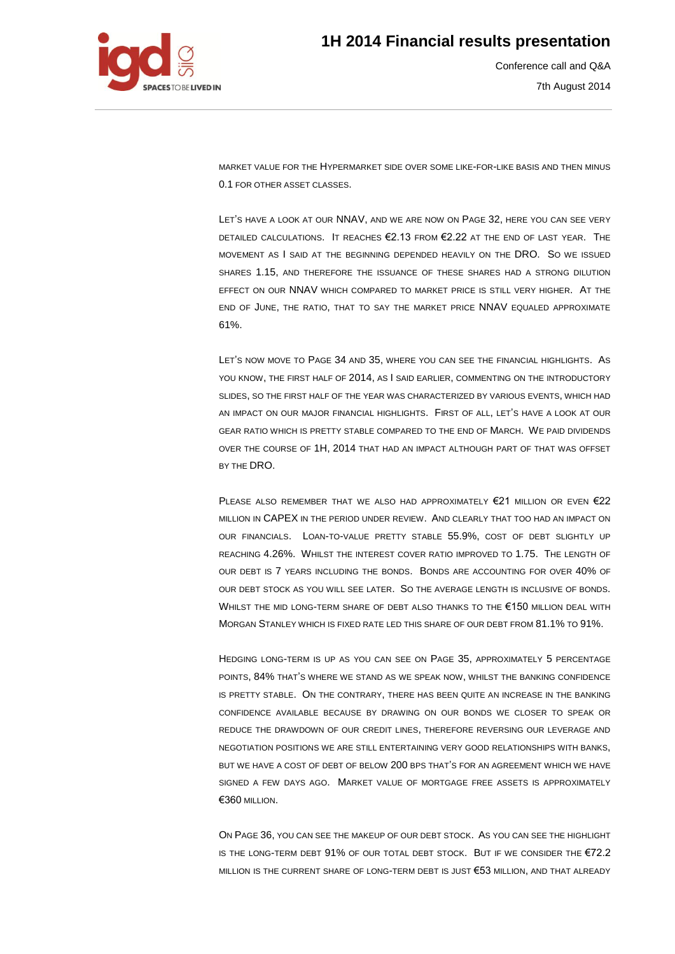

Conference call and Q&A 7th August 2014

MARKET VALUE FOR THE HYPERMARKET SIDE OVER SOME LIKE-FOR-LIKE BASIS AND THEN MINUS 0.1 FOR OTHER ASSET CLASSES.

LET'S HAVE A LOOK AT OUR NNAV, AND WE ARE NOW ON PAGE 32, HERE YOU CAN SEE VERY DETAILED CALCULATIONS. IT REACHES €2.13 FROM €2.22 AT THE END OF LAST YEAR. THE MOVEMENT AS I SAID AT THE BEGINNING DEPENDED HEAVILY ON THE DRO. SO WE ISSUED SHARES 1.15, AND THEREFORE THE ISSUANCE OF THESE SHARES HAD A STRONG DILUTION EFFECT ON OUR NNAV WHICH COMPARED TO MARKET PRICE IS STILL VERY HIGHER. AT THE END OF JUNE, THE RATIO, THAT TO SAY THE MARKET PRICE NNAV EQUALED APPROXIMATE 61%.

LET'S NOW MOVE TO PAGE 34 AND 35, WHERE YOU CAN SEE THE FINANCIAL HIGHLIGHTS. AS YOU KNOW, THE FIRST HALF OF 2014, AS I SAID EARLIER, COMMENTING ON THE INTRODUCTORY SLIDES, SO THE FIRST HALF OF THE YEAR WAS CHARACTERIZED BY VARIOUS EVENTS, WHICH HAD AN IMPACT ON OUR MAJOR FINANCIAL HIGHLIGHTS. FIRST OF ALL, LET'S HAVE A LOOK AT OUR GEAR RATIO WHICH IS PRETTY STABLE COMPARED TO THE END OF MARCH. WE PAID DIVIDENDS OVER THE COURSE OF 1H, 2014 THAT HAD AN IMPACT ALTHOUGH PART OF THAT WAS OFFSET BY THE DRO.

PLEASE ALSO REMEMBER THAT WE ALSO HAD APPROXIMATELY  $\epsilon$ 21 MILLION OR EVEN  $\epsilon$ 22 MILLION IN CAPEX IN THE PERIOD UNDER REVIEW. AND CLEARLY THAT TOO HAD AN IMPACT ON OUR FINANCIALS. LOAN-TO-VALUE PRETTY STABLE 55.9%, COST OF DEBT SLIGHTLY UP REACHING 4.26%. WHILST THE INTEREST COVER RATIO IMPROVED TO 1.75. THE LENGTH OF OUR DEBT IS 7 YEARS INCLUDING THE BONDS. BONDS ARE ACCOUNTING FOR OVER 40% OF OUR DEBT STOCK AS YOU WILL SEE LATER. SO THE AVERAGE LENGTH IS INCLUSIVE OF BONDS. WHILST THE MID LONG-TERM SHARE OF DEBT ALSO THANKS TO THE €150 MILLION DEAL WITH MORGAN STANLEY WHICH IS FIXED RATE LED THIS SHARE OF OUR DEBT FROM 81.1% TO 91%.

HEDGING LONG-TERM IS UP AS YOU CAN SEE ON PAGE 35, APPROXIMATELY 5 PERCENTAGE POINTS, 84% THAT'S WHERE WE STAND AS WE SPEAK NOW, WHILST THE BANKING CONFIDENCE IS PRETTY STABLE. ON THE CONTRARY, THERE HAS BEEN QUITE AN INCREASE IN THE BANKING CONFIDENCE AVAILABLE BECAUSE BY DRAWING ON OUR BONDS WE CLOSER TO SPEAK OR REDUCE THE DRAWDOWN OF OUR CREDIT LINES, THEREFORE REVERSING OUR LEVERAGE AND NEGOTIATION POSITIONS WE ARE STILL ENTERTAINING VERY GOOD RELATIONSHIPS WITH BANKS, BUT WE HAVE A COST OF DEBT OF BELOW 200 BPS THAT'S FOR AN AGREEMENT WHICH WE HAVE SIGNED A FEW DAYS AGO. MARKET VALUE OF MORTGAGE FREE ASSETS IS APPROXIMATELY €360 MILLION.

ON PAGE 36, YOU CAN SEE THE MAKEUP OF OUR DEBT STOCK. AS YOU CAN SEE THE HIGHLIGHT IS THE LONG-TERM DEBT  $91\%$  OF OUR TOTAL DEBT STOCK. BUT IF WE CONSIDER THE  $E72.2$ MILLION IS THE CURRENT SHARE OF LONG-TERM DEBT IS JUST €53 MILLION, AND THAT ALREADY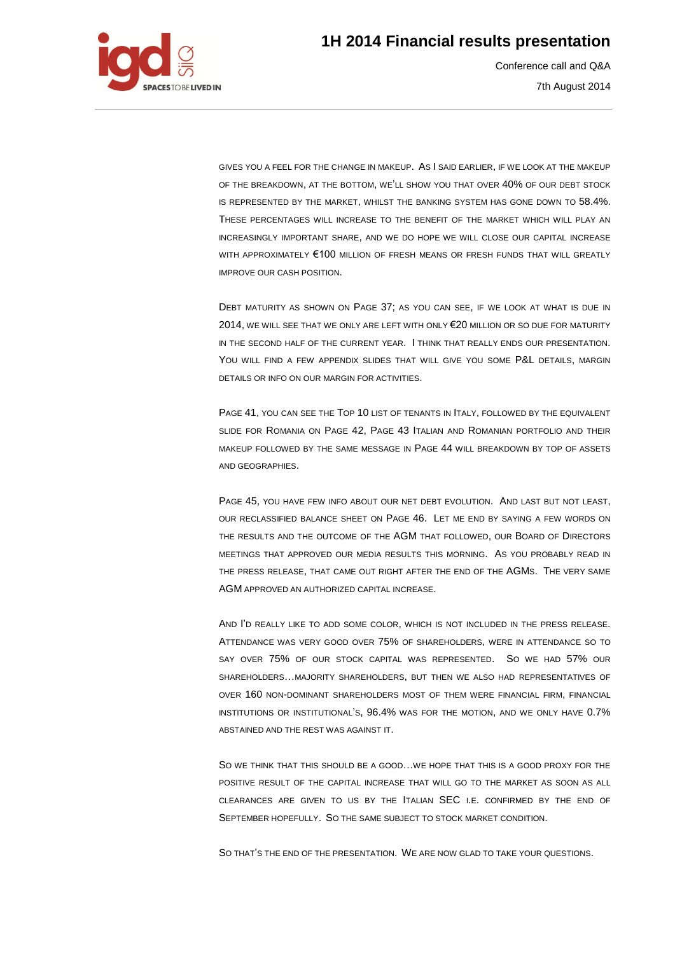

Conference call and Q&A 7th August 2014

GIVES YOU A FEEL FOR THE CHANGE IN MAKEUP. AS I SAID EARLIER, IF WE LOOK AT THE MAKEUP OF THE BREAKDOWN, AT THE BOTTOM, WE'LL SHOW YOU THAT OVER 40% OF OUR DEBT STOCK IS REPRESENTED BY THE MARKET, WHILST THE BANKING SYSTEM HAS GONE DOWN TO 58.4%. THESE PERCENTAGES WILL INCREASE TO THE BENEFIT OF THE MARKET WHICH WILL PLAY AN INCREASINGLY IMPORTANT SHARE, AND WE DO HOPE WE WILL CLOSE OUR CAPITAL INCREASE WITH APPROXIMATELY €100 MILLION OF FRESH MEANS OR FRESH FUNDS THAT WILL GREATLY IMPROVE OUR CASH POSITION.

DEBT MATURITY AS SHOWN ON PAGE 37; AS YOU CAN SEE, IF WE LOOK AT WHAT IS DUE IN 2014, WE WILL SEE THAT WE ONLY ARE LEFT WITH ONLY €20 MILLION OR SO DUE FOR MATURITY IN THE SECOND HALF OF THE CURRENT YEAR. I THINK THAT REALLY ENDS OUR PRESENTATION. YOU WILL FIND A FEW APPENDIX SLIDES THAT WILL GIVE YOU SOME P&L DETAILS, MARGIN DETAILS OR INFO ON OUR MARGIN FOR ACTIVITIES.

PAGE 41, YOU CAN SEE THE TOP 10 LIST OF TENANTS IN ITALY, FOLLOWED BY THE EQUIVALENT SLIDE FOR ROMANIA ON PAGE 42, PAGE 43 ITALIAN AND ROMANIAN PORTFOLIO AND THEIR MAKEUP FOLLOWED BY THE SAME MESSAGE IN PAGE 44 WILL BREAKDOWN BY TOP OF ASSETS AND GEOGRAPHIES.

PAGE 45, YOU HAVE FEW INFO ABOUT OUR NET DEBT EVOLUTION. AND LAST BUT NOT LEAST, OUR RECLASSIFIED BALANCE SHEET ON PAGE 46. LET ME END BY SAYING A FEW WORDS ON THE RESULTS AND THE OUTCOME OF THE AGM THAT FOLLOWED, OUR BOARD OF DIRECTORS MEETINGS THAT APPROVED OUR MEDIA RESULTS THIS MORNING. AS YOU PROBABLY READ IN THE PRESS RELEASE, THAT CAME OUT RIGHT AFTER THE END OF THE AGMS. THE VERY SAME AGM APPROVED AN AUTHORIZED CAPITAL INCREASE.

AND I'D REALLY LIKE TO ADD SOME COLOR, WHICH IS NOT INCLUDED IN THE PRESS RELEASE. ATTENDANCE WAS VERY GOOD OVER 75% OF SHAREHOLDERS, WERE IN ATTENDANCE SO TO SAY OVER 75% OF OUR STOCK CAPITAL WAS REPRESENTED. SO WE HAD 57% OUR SHAREHOLDERS…MAJORITY SHAREHOLDERS, BUT THEN WE ALSO HAD REPRESENTATIVES OF OVER 160 NON-DOMINANT SHAREHOLDERS MOST OF THEM WERE FINANCIAL FIRM, FINANCIAL INSTITUTIONS OR INSTITUTIONAL'S, 96.4% WAS FOR THE MOTION, AND WE ONLY HAVE 0.7% ABSTAINED AND THE REST WAS AGAINST IT.

SO WE THINK THAT THIS SHOULD BE A GOOD…WE HOPE THAT THIS IS A GOOD PROXY FOR THE POSITIVE RESULT OF THE CAPITAL INCREASE THAT WILL GO TO THE MARKET AS SOON AS ALL CLEARANCES ARE GIVEN TO US BY THE ITALIAN SEC I.E. CONFIRMED BY THE END OF SEPTEMBER HOPEFULLY. SO THE SAME SUBJECT TO STOCK MARKET CONDITION.

SO THAT'S THE END OF THE PRESENTATION. WE ARE NOW GLAD TO TAKE YOUR QUESTIONS.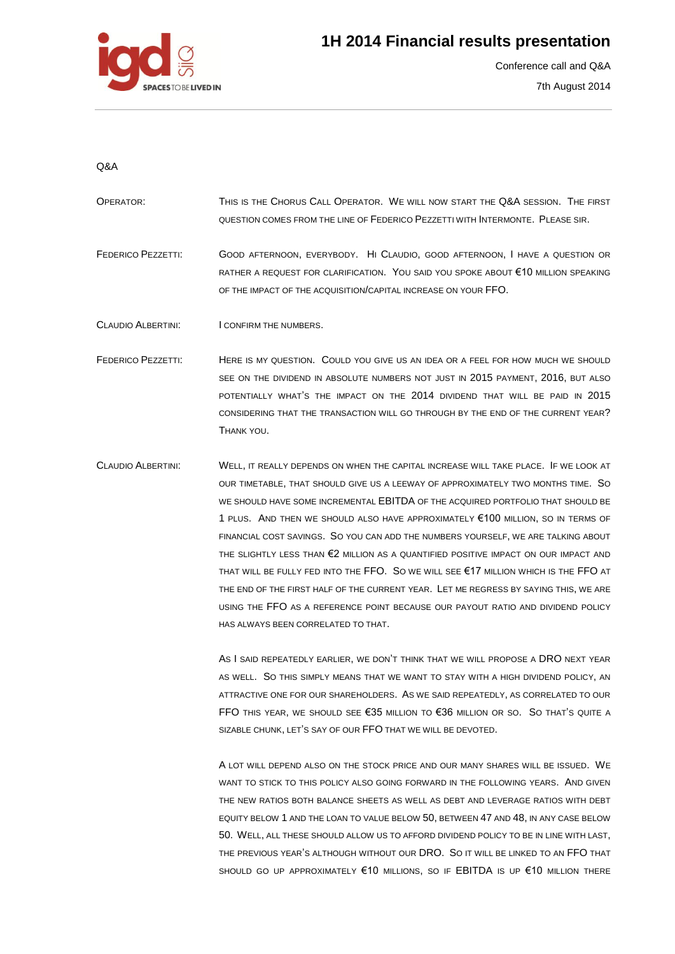

Conference call and Q&A 7th August 2014

#### Q&A

- OPERATOR: THIS IS THE CHORUS CALL OPERATOR. WE WILL NOW START THE Q&A SESSION. THE FIRST QUESTION COMES FROM THE LINE OF FEDERICO PEZZETTI WITH INTERMONTE. PLEASE SIR.
- FEDERICO PEZZETTI: GOOD AFTERNOON, EVERYBODY. HI CLAUDIO, GOOD AFTERNOON, I HAVE A QUESTION OR RATHER A REQUEST FOR CLARIFICATION. YOU SAID YOU SPOKE ABOUT €10 MILLION SPEAKING OF THE IMPACT OF THE ACQUISITION/CAPITAL INCREASE ON YOUR FFO.

CLAUDIO ALBERTINI: I CONFIRM THE NUMBERS.

- FEDERICO PEZZETTI: HERE IS MY QUESTION. COULD YOU GIVE US AN IDEA OR A FEEL FOR HOW MUCH WE SHOULD SEE ON THE DIVIDEND IN ABSOLUTE NUMBERS NOT JUST IN 2015 PAYMENT, 2016, BUT ALSO POTENTIALLY WHAT'S THE IMPACT ON THE 2014 DIVIDEND THAT WILL BE PAID IN 2015 CONSIDERING THAT THE TRANSACTION WILL GO THROUGH BY THE END OF THE CURRENT YEAR? THANK YOU.
- CLAUDIO ALBERTINI: WELL, IT REALLY DEPENDS ON WHEN THE CAPITAL INCREASE WILL TAKE PLACE. IF WE LOOK AT OUR TIMETABLE, THAT SHOULD GIVE US A LEEWAY OF APPROXIMATELY TWO MONTHS TIME. SO WE SHOULD HAVE SOME INCREMENTAL EBITDA OF THE ACQUIRED PORTFOLIO THAT SHOULD BE 1 PLUS. AND THEN WE SHOULD ALSO HAVE APPROXIMATELY €100 MILLION, SO IN TERMS OF FINANCIAL COST SAVINGS. SO YOU CAN ADD THE NUMBERS YOURSELF, WE ARE TALKING ABOUT THE SLIGHTLY LESS THAN €2 MILLION AS A QUANTIFIED POSITIVE IMPACT ON OUR IMPACT AND THAT WILL BE FULLY FED INTO THE FFO. SO WE WILL SEE €17 MILLION WHICH IS THE FFO AT THE END OF THE FIRST HALF OF THE CURRENT YEAR. LET ME REGRESS BY SAYING THIS, WE ARE USING THE FFO AS A REFERENCE POINT BECAUSE OUR PAYOUT RATIO AND DIVIDEND POLICY HAS ALWAYS BEEN CORRELATED TO THAT.

AS I SAID REPEATEDLY EARLIER, WE DON'T THINK THAT WE WILL PROPOSE A DRO NEXT YEAR AS WELL. SO THIS SIMPLY MEANS THAT WE WANT TO STAY WITH A HIGH DIVIDEND POLICY, AN ATTRACTIVE ONE FOR OUR SHAREHOLDERS. AS WE SAID REPEATEDLY, AS CORRELATED TO OUR FFO THIS YEAR, WE SHOULD SEE €35 MILLION TO €36 MILLION OR SO. SO THAT'S QUITE A SIZABLE CHUNK, LET'S SAY OF OUR FFO THAT WE WILL BE DEVOTED.

A LOT WILL DEPEND ALSO ON THE STOCK PRICE AND OUR MANY SHARES WILL BE ISSUED. WE WANT TO STICK TO THIS POLICY ALSO GOING FORWARD IN THE FOLLOWING YEARS. AND GIVEN THE NEW RATIOS BOTH BALANCE SHEETS AS WELL AS DEBT AND LEVERAGE RATIOS WITH DEBT EQUITY BELOW 1 AND THE LOAN TO VALUE BELOW 50, BETWEEN 47 AND 48, IN ANY CASE BELOW 50. WELL, ALL THESE SHOULD ALLOW US TO AFFORD DIVIDEND POLICY TO BE IN LINE WITH LAST, THE PREVIOUS YEAR'S ALTHOUGH WITHOUT OUR DRO. SO IT WILL BE LINKED TO AN FFO THAT SHOULD GO UP APPROXIMATELY €10 MILLIONS, SO IF EBITDA IS UP €10 MILLION THERE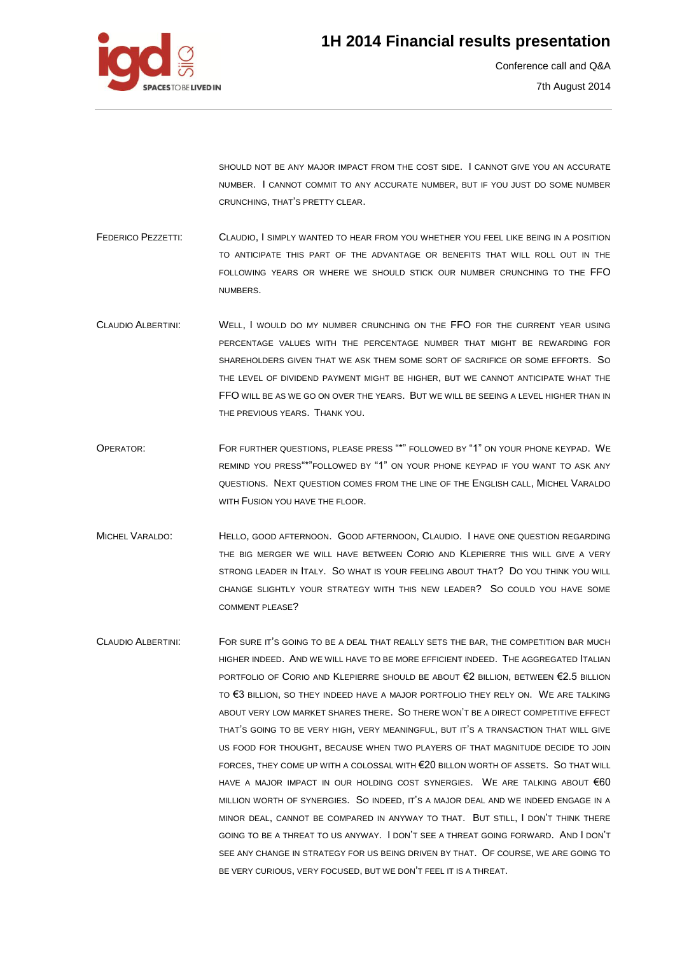

Conference call and Q&A 7th August 2014

SHOULD NOT BE ANY MAJOR IMPACT FROM THE COST SIDE. I CANNOT GIVE YOU AN ACCURATE NUMBER. I CANNOT COMMIT TO ANY ACCURATE NUMBER, BUT IF YOU JUST DO SOME NUMBER CRUNCHING, THAT'S PRETTY CLEAR.

FEDERICO PEZZETTI: CLAUDIO, I SIMPLY WANTED TO HEAR FROM YOU WHETHER YOU FEEL LIKE BEING IN A POSITION TO ANTICIPATE THIS PART OF THE ADVANTAGE OR BENEFITS THAT WILL ROLL OUT IN THE FOLLOWING YEARS OR WHERE WE SHOULD STICK OUR NUMBER CRUNCHING TO THE FFO NUMBERS.

- CLAUDIO ALBERTINI: WELL, I WOULD DO MY NUMBER CRUNCHING ON THE FFO FOR THE CURRENT YEAR USING PERCENTAGE VALUES WITH THE PERCENTAGE NUMBER THAT MIGHT BE REWARDING FOR SHAREHOLDERS GIVEN THAT WE ASK THEM SOME SORT OF SACRIFICE OR SOME EFFORTS. SO THE LEVEL OF DIVIDEND PAYMENT MIGHT BE HIGHER, BUT WE CANNOT ANTICIPATE WHAT THE FFO WILL BE AS WE GO ON OVER THE YEARS. BUT WE WILL BE SEEING A LEVEL HIGHER THAN IN THE PREVIOUS YEARS. THANK YOU.
- OPERATOR: FOR FURTHER QUESTIONS, PLEASE PRESS "\*" FOLLOWED BY "1" ON YOUR PHONE KEYPAD. WE REMIND YOU PRESS"\*"FOLLOWED BY "1" ON YOUR PHONE KEYPAD IF YOU WANT TO ASK ANY QUESTIONS. NEXT QUESTION COMES FROM THE LINE OF THE ENGLISH CALL, MICHEL VARALDO WITH FUSION YOU HAVE THE FLOOR.
- MICHEL VARALDO: HELLO, GOOD AFTERNOON. GOOD AFTERNOON, CLAUDIO. I HAVE ONE QUESTION REGARDING THE BIG MERGER WE WILL HAVE BETWEEN CORIO AND KLEPIERRE THIS WILL GIVE A VERY STRONG LEADER IN ITALY. SO WHAT IS YOUR FEELING ABOUT THAT? DO YOU THINK YOU WILL CHANGE SLIGHTLY YOUR STRATEGY WITH THIS NEW LEADER? SO COULD YOU HAVE SOME COMMENT PLEASE?

CLAUDIO ALBERTINI: FOR SURE IT'S GOING TO BE A DEAL THAT REALLY SETS THE BAR, THE COMPETITION BAR MUCH HIGHER INDEED. AND WE WILL HAVE TO BE MORE EFFICIENT INDEED. THE AGGREGATED ITALIAN PORTFOLIO OF CORIO AND KLEPIERRE SHOULD BE ABOUT €2 BILLION, BETWEEN €2.5 BILLION TO €3 BILLION, SO THEY INDEED HAVE A MAJOR PORTFOLIO THEY RELY ON. WE ARE TALKING ABOUT VERY LOW MARKET SHARES THERE. SO THERE WON'T BE A DIRECT COMPETITIVE EFFECT THAT'S GOING TO BE VERY HIGH, VERY MEANINGFUL, BUT IT'S A TRANSACTION THAT WILL GIVE US FOOD FOR THOUGHT, BECAUSE WHEN TWO PLAYERS OF THAT MAGNITUDE DECIDE TO JOIN FORCES, THEY COME UP WITH A COLOSSAL WITH €20 BILLON WORTH OF ASSETS. SO THAT WILL HAVE A MAJOR IMPACT IN OUR HOLDING COST SYNERGIES. WE ARE TALKING ABOUT €60 MILLION WORTH OF SYNERGIES. SO INDEED, IT'S A MAJOR DEAL AND WE INDEED ENGAGE IN A MINOR DEAL, CANNOT BE COMPARED IN ANYWAY TO THAT. BUT STILL, I DON'T THINK THERE GOING TO BE A THREAT TO US ANYWAY. I DON'T SEE A THREAT GOING FORWARD. AND I DON'T SEE ANY CHANGE IN STRATEGY FOR US BEING DRIVEN BY THAT. OF COURSE, WE ARE GOING TO BE VERY CURIOUS, VERY FOCUSED, BUT WE DON'T FEEL IT IS A THREAT.